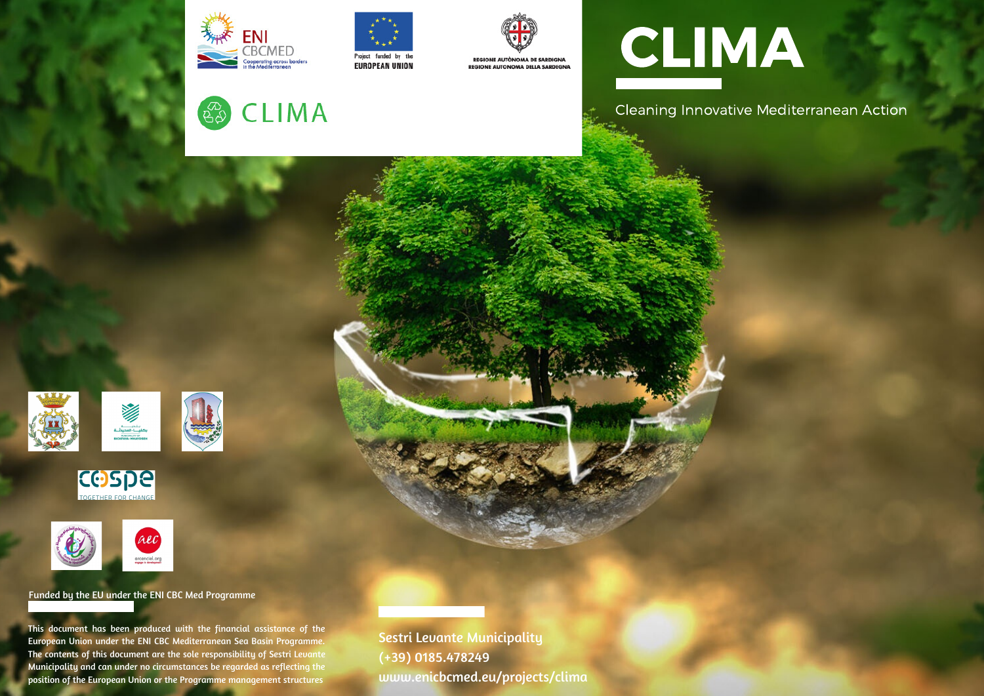

 $\mathbb{Z}_{\Theta}^{\infty}$ 

**CLIMA** 





# CLIMA

Cleaning Innovative Mediterranean Action







Funded by the EU under the ENI CBC Med Programme

This document has been produced with the financial assistance of the European Union under the ENI CBC Mediterranean Sea Basin Programme. The contents of this document are the sole responsibility of Sestri Levante Municipality and can under no circumstances be regarded as reflecting the position of the European Union or the Programme management structures

Sestri Levante Municipality (+39) 0185.478249 www.enicbcmed.eu/projects/clima